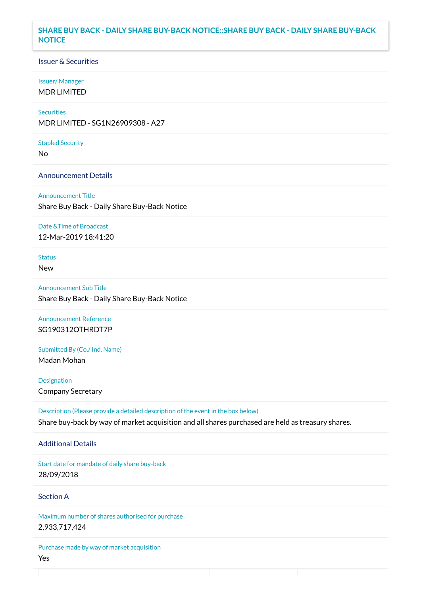## **SHARE BUY BACK - DAILY SHARE BUY-BACK NOTICE::SHARE BUY BACK - DAILY SHARE BUY-BACK NOTICE**

### Issuer & Securities

### Issuer/ Manager

MDR LIMITED

# **Securities**

MDR LIMITED - SG1N26909308 - A27

#### Stapled Security

No

### Announcement Details

Announcement Title Share Buy Back - Daily Share Buy-Back Notice

#### Date &Time of Broadcast

12-Mar-2019 18:41:20

# Status

New

Announcement Sub Title Share Buy Back - Daily Share Buy-Back Notice

Announcement Reference SG190312OTHRDT7P

Submitted By (Co./ Ind. Name)

Madan Mohan

**Designation** Company Secretary

Description (Please provide a detailed description of the event in the box below) Share buy-back by way of market acquisition and all shares purchased are held as treasury shares.

### Additional Details

Start date for mandate of daily share buy-back 28/09/2018

## Section A

Maximum number of shares authorised for purchase 2,933,717,424

Purchase made by way of market acquisition Yes